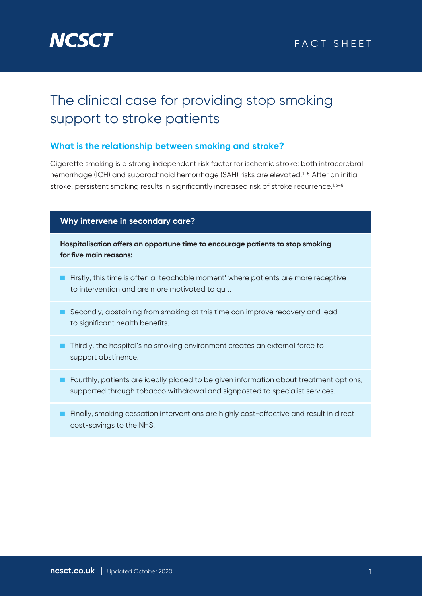

## The clinical case for providing stop smoking support to stroke patients

## **What is the relationship between smoking and stroke?**

Cigarette smoking is a strong independent risk factor for ischemic stroke; both intracerebral hemorrhage (ICH) and subarachnoid hemorrhage (SAH) risks are elevated.<sup>1-5</sup> After an initial stroke, persistent smoking results in significantly increased risk of stroke recurrence.<sup>1,6-8</sup>

#### **Why intervene in secondary care?**

**Hospitalisation offers an opportune time to encourage patients to stop smoking for five main reasons:**

- Firstly, this time is often a 'teachable moment' where patients are more receptive to intervention and are more motivated to quit.
- Secondly, abstaining from smoking at this time can improve recovery and lead to significant health benefits.
- Thirdly, the hospital's no smoking environment creates an external force to support abstinence.
- Fourthly, patients are ideally placed to be given information about treatment options, supported through tobacco withdrawal and signposted to specialist services.
- Finally, smoking cessation interventions are highly cost-effective and result in direct cost-savings to the NHS.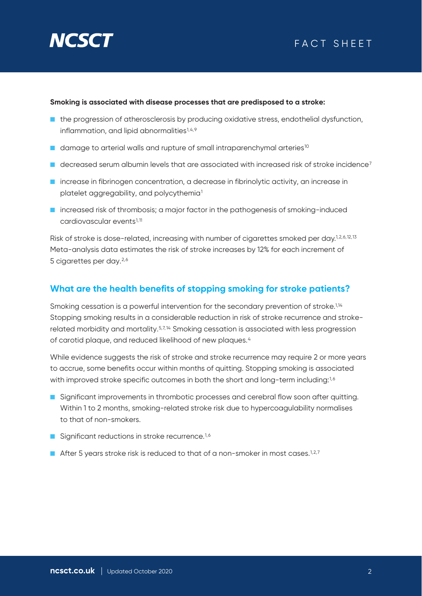

#### **Smoking is associated with disease processes that are predisposed to a stroke:**

- the progression of atherosclerosis by producing oxidative stress, endothelial dysfunction, inflammation, and lipid abnormalities<sup>1,4,9</sup>
- damage to arterial walls and rupture of small intraparenchymal arteries<sup>10</sup>
- $\blacksquare$  decreased serum albumin levels that are associated with increased risk of stroke incidence<sup>7</sup>
- increase in fibrinogen concentration, a decrease in fibrinolytic activity, an increase in platelet aggregability, and polycythemia<sup>1</sup>
- increased risk of thrombosis; a major factor in the pathogenesis of smoking-induced cardiovascular events1,11

Risk of stroke is dose-related, increasing with number of cigarettes smoked per day.<sup>1,2,6,12,13</sup> Meta-analysis data estimates the risk of stroke increases by 12% for each increment of 5 cigarettes per day.<sup>2,6</sup>

### **What are the health benefits of stopping smoking for stroke patients?**

Smoking cessation is a powerful intervention for the secondary prevention of stroke.<sup>1,14</sup> Stopping smoking results in a considerable reduction in risk of stroke recurrence and strokerelated morbidity and mortality.<sup>5,7,14</sup> Smoking cessation is associated with less progression of carotid plaque, and reduced likelihood of new plaques.4

While evidence suggests the risk of stroke and stroke recurrence may require 2 or more years to accrue, some benefits occur within months of quitting. Stopping smoking is associated with improved stroke specific outcomes in both the short and long-term including:<sup>1,6</sup>

- Significant improvements in thrombotic processes and cerebral flow soon after quitting. Within 1 to 2 months, smoking-related stroke risk due to hypercoagulability normalises to that of non-smokers.
- Significant reductions in stroke recurrence.<sup>1,6</sup>
- **After 5 years stroke risk is reduced to that of a non-smoker in most cases.**<sup>1,2,7</sup>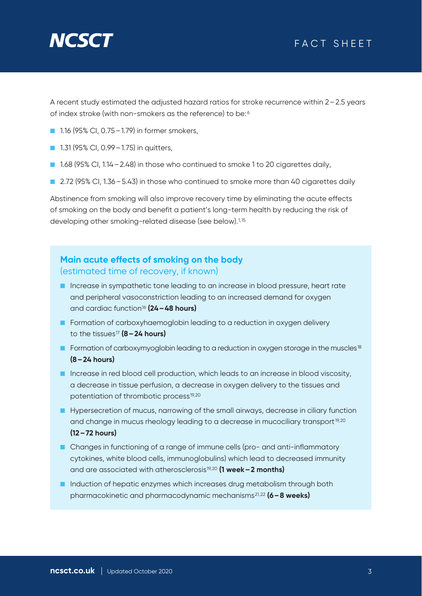# **NGSC**

## FACT SHEET

A recent study estimated the adjusted hazard ratios for stroke recurrence within 2–2.5 years of index stroke (with non-smokers as the reference) to be: <sup>6</sup>

- 1.16 (95% CI, 0.75 1.79) in former smokers,
- 1.31 (95% CI, 0.99 1.75) in quitters,
- 1.68 (95% CI, 1.14 2.48) in those who continued to smoke 1 to 20 cigarettes daily,
- 2.72 (95% CI, 1.36 5.43) in those who continued to smoke more than 40 cigarettes daily

Abstinence from smoking will also improve recovery time by eliminating the acute effects of smoking on the body and benefit a patient's long-term health by reducing the risk of developing other smoking-related disease (see below).1,15

## **Main acute effects of smoking on the body** (estimated time of recovery, if known)

- Increase in sympathetic tone leading to an increase in blood pressure, heart rate and peripheral vasoconstriction leading to an increased demand for oxygen and cardiac function16 **(24–48 hours)**
- Formation of carboxyhaemoglobin leading to a reduction in oxygen delivery to the tissues17 **(8–24 hours)**
- Formation of carboxymyoglobin leading to a reduction in oxygen storage in the muscles<sup>18</sup> **(8–24 hours)**
- Increase in red blood cell production, which leads to an increase in blood viscosity, a decrease in tissue perfusion, a decrease in oxygen delivery to the tissues and potentiation of thrombotic process<sup>19,20</sup>
- Hypersecretion of mucus, narrowing of the small airways, decrease in ciliary function and change in mucus rheology leading to a decrease in mucociliary transport<sup>19,20</sup> **(12–72 hours)**
- Changes in functioning of a range of immune cells (pro- and anti-inflammatory cytokines, white blood cells, immunoglobulins) which lead to decreased immunity and are associated with atherosclerosis19,20 **(1 week–2 months)**
- Induction of hepatic enzymes which increases drug metabolism through both pharmacokinetic and pharmacodynamic mechanisms21,22 **(6–8 weeks)**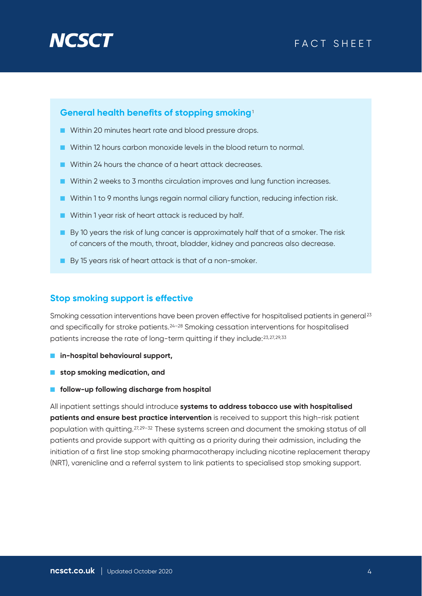# **NCS**

## FACT SHEET

#### **General health benefits of stopping smoking**<sup>1</sup>

- Within 20 minutes heart rate and blood pressure drops.
- Within 12 hours carbon monoxide levels in the blood return to normal.
- Within 24 hours the chance of a heart attack decreases.
- Within 2 weeks to 3 months circulation improves and lung function increases.
- Within 1 to 9 months lungs regain normal ciliary function, reducing infection risk.
- Within 1 year risk of heart attack is reduced by half.
- By 10 years the risk of lung cancer is approximately half that of a smoker. The risk of cancers of the mouth, throat, bladder, kidney and pancreas also decrease.
- By 15 years risk of heart attack is that of a non-smoker.

#### **Stop smoking support is effective**

Smoking cessation interventions have been proven effective for hospitalised patients in general<sup>23</sup> and specifically for stroke patients.24–28 Smoking cessation interventions for hospitalised patients increase the rate of long-term quitting if they include:23,27,29,33

- **in-hospital behavioural support,**
- **stop smoking medication, and**
- **follow-up following discharge from hospital**

All inpatient settings should introduce **systems to address tobacco use with hospitalised patients and ensure best practice intervention** is received to support this high-risk patient population with quitting.27,29–32 These systems screen and document the smoking status of all patients and provide support with quitting as a priority during their admission, including the initiation of a first line stop smoking pharmacotherapy including nicotine replacement therapy (NRT), varenicline and a referral system to link patients to specialised stop smoking support.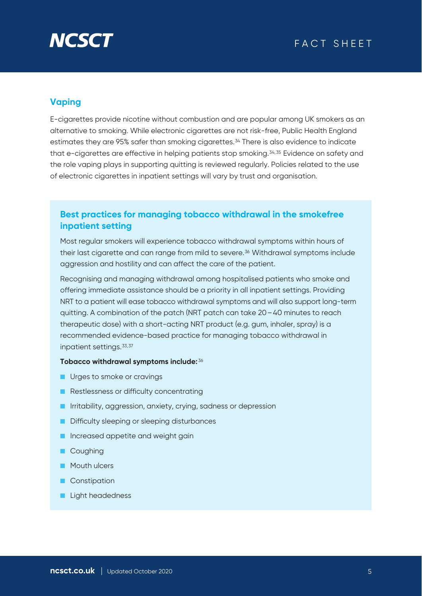

## **Vaping**

E-cigarettes provide nicotine without combustion and are popular among UK smokers as an alternative to smoking. While electronic cigarettes are not risk-free, Public Health England estimates they are 95% safer than smoking cigarettes.34 There is also evidence to indicate that e-cigarettes are effective in helping patients stop smoking.34,35 Evidence on safety and the role vaping plays in supporting quitting is reviewed regularly. Policies related to the use of electronic cigarettes in inpatient settings will vary by trust and organisation.

## **Best practices for managing tobacco withdrawal in the smokefree inpatient setting**

Most regular smokers will experience tobacco withdrawal symptoms within hours of their last cigarette and can range from mild to severe.36 Withdrawal symptoms include aggression and hostility and can affect the care of the patient.

Recognising and managing withdrawal among hospitalised patients who smoke and offering immediate assistance should be a priority in all inpatient settings. Providing NRT to a patient will ease tobacco withdrawal symptoms and will also support long-term quitting. A combination of the patch (NRT patch can take 20–40 minutes to reach therapeutic dose) with a short-acting NRT product (e.g. gum, inhaler, spray) is a recommended evidence-based practice for managing tobacco withdrawal in inpatient settings.33,37

#### **Tobacco withdrawal symptoms include:** <sup>36</sup>

- Urges to smoke or cravings
- Restlessness or difficulty concentrating
- Irritability, aggression, anxiety, crying, sadness or depression
- Difficulty sleeping or sleeping disturbances
- Increased appetite and weight gain
- Coughing
- Mouth ulcers
- Constipation
- Light headedness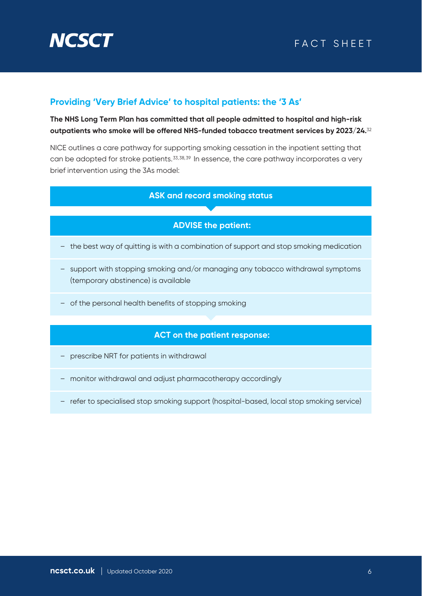

## **Providing 'Very Brief Advice' to hospital patients: the '3 As'**

**The NHS Long Term Plan has committed that all people admitted to hospital and high-risk outpatients who smoke will be offered NHS-funded tobacco treatment services by 2023/24.**<sup>32</sup>

NICE outlines a care pathway for supporting smoking cessation in the inpatient setting that can be adopted for stroke patients.<sup>33,38,39</sup> In essence, the care pathway incorporates a very brief intervention using the 3As model:

#### **ASK and record smoking status**

### **ADVISE the patient:**

- the best way of quitting is with a combination of support and stop smoking medication
- support with stopping smoking and/or managing any tobacco withdrawal symptoms (temporary abstinence) is available
- of the personal health benefits of stopping smoking

### **ACT on the patient response:**

- prescribe NRT for patients in withdrawal
- monitor withdrawal and adjust pharmacotherapy accordingly
- refer to specialised stop smoking support (hospital-based, local stop smoking service)